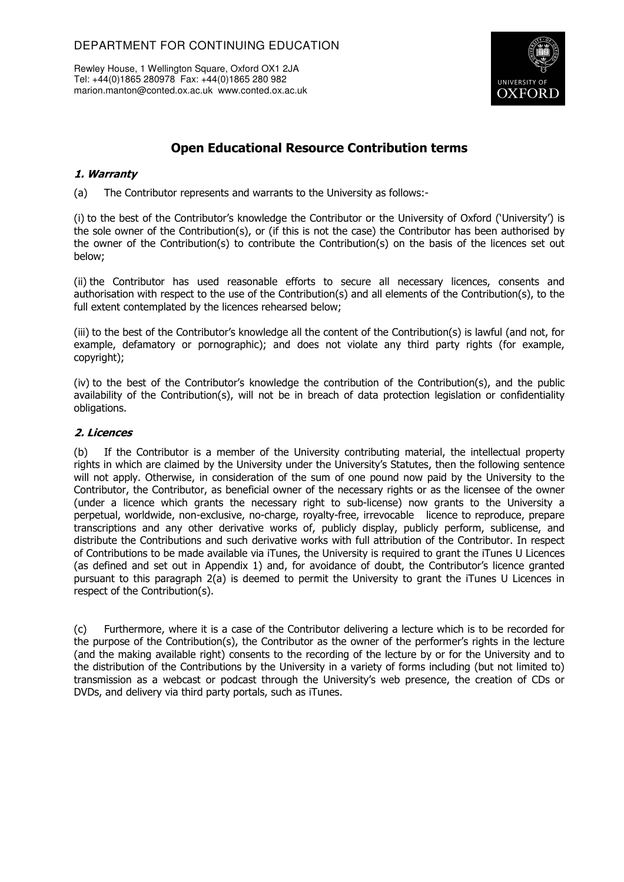Rewley House, 1 Wellington Square, Oxford OX1 2JA Tel: +44(0)1865 280978 Fax: +44(0)1865 280 982 marion.manton@conted.ox.ac.uk www.conted.ox.ac.uk



## **Open Educational Resource Contribution terms**

## **1. Warranty**

(a) The Contributor represents and warrants to the University as follows:-

(i) to the best of the Contributor's knowledge the Contributor or the University of Oxford ('University') is the sole owner of the Contribution(s), or (if this is not the case) the Contributor has been authorised by the owner of the Contribution(s) to contribute the Contribution(s) on the basis of the licences set out below;

(ii) the Contributor has used reasonable efforts to secure all necessary licences, consents and authorisation with respect to the use of the Contribution(s) and all elements of the Contribution(s), to the full extent contemplated by the licences rehearsed below;

(iii) to the best of the Contributor's knowledge all the content of the Contribution(s) is lawful (and not, for example, defamatory or pornographic); and does not violate any third party rights (for example, copyright);

(iv) to the best of the Contributor's knowledge the contribution of the Contribution(s), and the public availability of the Contribution(s), will not be in breach of data protection legislation or confidentiality obligations.

## **2. Licences**

(b) If the Contributor is a member of the University contributing material, the intellectual property rights in which are claimed by the University under the University's Statutes, then the following sentence will not apply. Otherwise, in consideration of the sum of one pound now paid by the University to the Contributor, the Contributor, as beneficial owner of the necessary rights or as the licensee of the owner (under a licence which grants the necessary right to sub-license) now grants to the University a perpetual, worldwide, non-exclusive, no-charge, royalty-free, irrevocable licence to reproduce, prepare transcriptions and any other derivative works of, publicly display, publicly perform, sublicense, and distribute the Contributions and such derivative works with full attribution of the Contributor. In respect of Contributions to be made available via iTunes, the University is required to grant the iTunes U Licences (as defined and set out in Appendix 1) and, for avoidance of doubt, the Contributor's licence granted pursuant to this paragraph 2(a) is deemed to permit the University to grant the iTunes U Licences in respect of the Contribution(s).

(c) Furthermore, where it is a case of the Contributor delivering a lecture which is to be recorded for the purpose of the Contribution(s), the Contributor as the owner of the performer's rights in the lecture (and the making available right) consents to the recording of the lecture by or for the University and to the distribution of the Contributions by the University in a variety of forms including (but not limited to) transmission as a webcast or podcast through the University's web presence, the creation of CDs or DVDs, and delivery via third party portals, such as iTunes.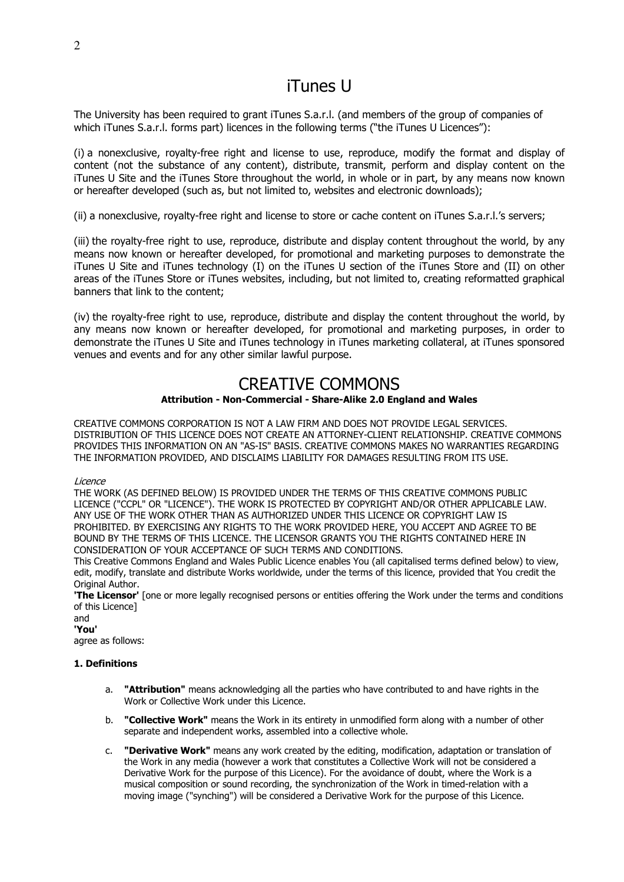# iTunes U

The University has been required to grant iTunes S.a.r.l. (and members of the group of companies of which iTunes S.a.r.l. forms part) licences in the following terms ("the iTunes U Licences"):

(i) a nonexclusive, royalty-free right and license to use, reproduce, modify the format and display of content (not the substance of any content), distribute, transmit, perform and display content on the iTunes U Site and the iTunes Store throughout the world, in whole or in part, by any means now known or hereafter developed (such as, but not limited to, websites and electronic downloads);

(ii) a nonexclusive, royalty-free right and license to store or cache content on iTunes S.a.r.l.'s servers;

(iii) the royalty-free right to use, reproduce, distribute and display content throughout the world, by any means now known or hereafter developed, for promotional and marketing purposes to demonstrate the iTunes U Site and iTunes technology (I) on the iTunes U section of the iTunes Store and (II) on other areas of the iTunes Store or iTunes websites, including, but not limited to, creating reformatted graphical banners that link to the content;

(iv) the royalty-free right to use, reproduce, distribute and display the content throughout the world, by any means now known or hereafter developed, for promotional and marketing purposes, in order to demonstrate the iTunes U Site and iTunes technology in iTunes marketing collateral, at iTunes sponsored venues and events and for any other similar lawful purpose.

## CREATIVE COMMONS

## **Attribution - Non-Commercial - Share-Alike 2.0 England and Wales**

CREATIVE COMMONS CORPORATION IS NOT A LAW FIRM AND DOES NOT PROVIDE LEGAL SERVICES. DISTRIBUTION OF THIS LICENCE DOES NOT CREATE AN ATTORNEY-CLIENT RELATIONSHIP. CREATIVE COMMONS PROVIDES THIS INFORMATION ON AN "AS-IS" BASIS. CREATIVE COMMONS MAKES NO WARRANTIES REGARDING THE INFORMATION PROVIDED, AND DISCLAIMS LIABILITY FOR DAMAGES RESULTING FROM ITS USE.

## Licence

THE WORK (AS DEFINED BELOW) IS PROVIDED UNDER THE TERMS OF THIS CREATIVE COMMONS PUBLIC LICENCE ("CCPL" OR "LICENCE"). THE WORK IS PROTECTED BY COPYRIGHT AND/OR OTHER APPLICABLE LAW. ANY USE OF THE WORK OTHER THAN AS AUTHORIZED UNDER THIS LICENCE OR COPYRIGHT LAW IS PROHIBITED. BY EXERCISING ANY RIGHTS TO THE WORK PROVIDED HERE, YOU ACCEPT AND AGREE TO BE BOUND BY THE TERMS OF THIS LICENCE. THE LICENSOR GRANTS YOU THE RIGHTS CONTAINED HERE IN CONSIDERATION OF YOUR ACCEPTANCE OF SUCH TERMS AND CONDITIONS.

This Creative Commons England and Wales Public Licence enables You (all capitalised terms defined below) to view, edit, modify, translate and distribute Works worldwide, under the terms of this licence, provided that You credit the Original Author.

**'The Licensor'** [one or more legally recognised persons or entities offering the Work under the terms and conditions of this Licence]

and **'You'** agree as follows:

## **1. Definitions**

- a. **"Attribution"** means acknowledging all the parties who have contributed to and have rights in the Work or Collective Work under this Licence.
- b. **"Collective Work"** means the Work in its entirety in unmodified form along with a number of other separate and independent works, assembled into a collective whole.
- c. **"Derivative Work"** means any work created by the editing, modification, adaptation or translation of the Work in any media (however a work that constitutes a Collective Work will not be considered a Derivative Work for the purpose of this Licence). For the avoidance of doubt, where the Work is a musical composition or sound recording, the synchronization of the Work in timed-relation with a moving image ("synching") will be considered a Derivative Work for the purpose of this Licence.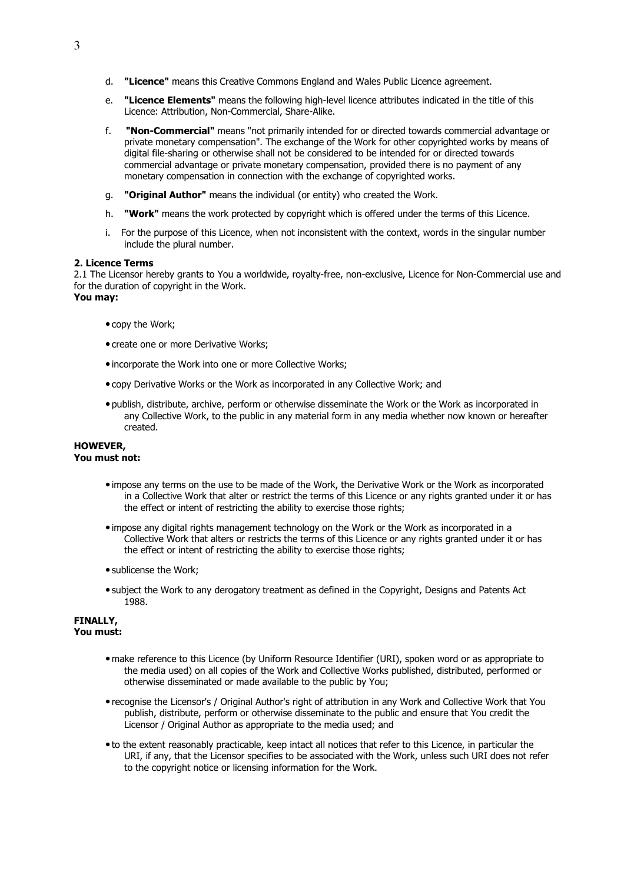- d. **"Licence"** means this Creative Commons England and Wales Public Licence agreement.
- e. **"Licence Elements"** means the following high-level licence attributes indicated in the title of this Licence: Attribution, Non-Commercial, Share-Alike.
- f. **"Non-Commercial"** means "not primarily intended for or directed towards commercial advantage or private monetary compensation". The exchange of the Work for other copyrighted works by means of digital file-sharing or otherwise shall not be considered to be intended for or directed towards commercial advantage or private monetary compensation, provided there is no payment of any monetary compensation in connection with the exchange of copyrighted works.
- g. **"Original Author"** means the individual (or entity) who created the Work.
- h. **"Work"** means the work protected by copyright which is offered under the terms of this Licence.
- i. For the purpose of this Licence, when not inconsistent with the context, words in the singular number include the plural number.

#### **2. Licence Terms**

2.1 The Licensor hereby grants to You a worldwide, royalty-free, non-exclusive, Licence for Non-Commercial use and for the duration of copyright in the Work.

## **You may:**

- copy the Work;
- create one or more Derivative Works;
- incorporate the Work into one or more Collective Works;
- copy Derivative Works or the Work as incorporated in any Collective Work; and
- publish, distribute, archive, perform or otherwise disseminate the Work or the Work as incorporated in any Collective Work, to the public in any material form in any media whether now known or hereafter created.

#### **HOWEVER, You must not:**

- impose any terms on the use to be made of the Work, the Derivative Work or the Work as incorporated in a Collective Work that alter or restrict the terms of this Licence or any rights granted under it or has the effect or intent of restricting the ability to exercise those rights;
- impose any digital rights management technology on the Work or the Work as incorporated in a Collective Work that alters or restricts the terms of this Licence or any rights granted under it or has the effect or intent of restricting the ability to exercise those rights;
- sublicense the Work;
- subject the Work to any derogatory treatment as defined in the Copyright, Designs and Patents Act 1988.

#### **FINALLY, You must:**

- make reference to this Licence (by Uniform Resource Identifier (URI), spoken word or as appropriate to the media used) on all copies of the Work and Collective Works published, distributed, performed or otherwise disseminated or made available to the public by You;
- recognise the Licensor's / Original Author's right of attribution in any Work and Collective Work that You publish, distribute, perform or otherwise disseminate to the public and ensure that You credit the Licensor / Original Author as appropriate to the media used; and
- to the extent reasonably practicable, keep intact all notices that refer to this Licence, in particular the URI, if any, that the Licensor specifies to be associated with the Work, unless such URI does not refer to the copyright notice or licensing information for the Work.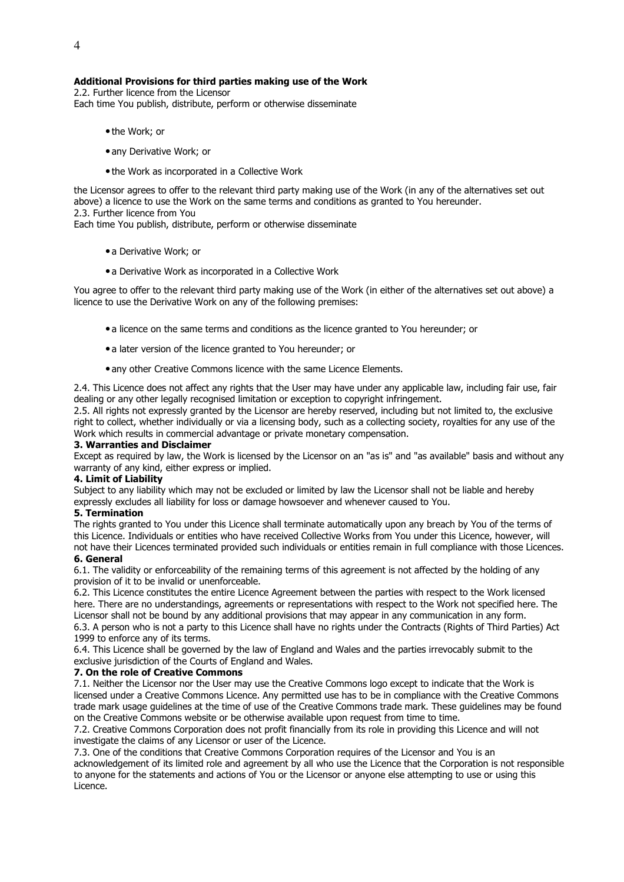## **Additional Provisions for third parties making use of the Work**

2.2. Further licence from the Licensor Each time You publish, distribute, perform or otherwise disseminate

- the Work; or
- any Derivative Work; or
- the Work as incorporated in a Collective Work

the Licensor agrees to offer to the relevant third party making use of the Work (in any of the alternatives set out above) a licence to use the Work on the same terms and conditions as granted to You hereunder. 2.3. Further licence from You Each time You publish, distribute, perform or otherwise disseminate

- a Derivative Work; or
- a Derivative Work as incorporated in a Collective Work

You agree to offer to the relevant third party making use of the Work (in either of the alternatives set out above) a licence to use the Derivative Work on any of the following premises:

- a licence on the same terms and conditions as the licence granted to You hereunder; or
- a later version of the licence granted to You hereunder; or
- any other Creative Commons licence with the same Licence Elements.

2.4. This Licence does not affect any rights that the User may have under any applicable law, including fair use, fair dealing or any other legally recognised limitation or exception to copyright infringement.

2.5. All rights not expressly granted by the Licensor are hereby reserved, including but not limited to, the exclusive right to collect, whether individually or via a licensing body, such as a collecting society, royalties for any use of the Work which results in commercial advantage or private monetary compensation.

## **3. Warranties and Disclaimer**

Except as required by law, the Work is licensed by the Licensor on an "as is" and "as available" basis and without any warranty of any kind, either express or implied.

#### **4. Limit of Liability**

Subject to any liability which may not be excluded or limited by law the Licensor shall not be liable and hereby expressly excludes all liability for loss or damage howsoever and whenever caused to You.

## **5. Termination**

The rights granted to You under this Licence shall terminate automatically upon any breach by You of the terms of this Licence. Individuals or entities who have received Collective Works from You under this Licence, however, will not have their Licences terminated provided such individuals or entities remain in full compliance with those Licences.

#### **6. General**

6.1. The validity or enforceability of the remaining terms of this agreement is not affected by the holding of any provision of it to be invalid or unenforceable.

6.2. This Licence constitutes the entire Licence Agreement between the parties with respect to the Work licensed here. There are no understandings, agreements or representations with respect to the Work not specified here. The Licensor shall not be bound by any additional provisions that may appear in any communication in any form. 6.3. A person who is not a party to this Licence shall have no rights under the Contracts (Rights of Third Parties) Act 1999 to enforce any of its terms.

6.4. This Licence shall be governed by the law of England and Wales and the parties irrevocably submit to the exclusive jurisdiction of the Courts of England and Wales.

#### **7. On the role of Creative Commons**

7.1. Neither the Licensor nor the User may use the Creative Commons logo except to indicate that the Work is licensed under a Creative Commons Licence. Any permitted use has to be in compliance with the Creative Commons trade mark usage guidelines at the time of use of the Creative Commons trade mark. These guidelines may be found on the Creative Commons website or be otherwise available upon request from time to time.

7.2. Creative Commons Corporation does not profit financially from its role in providing this Licence and will not investigate the claims of any Licensor or user of the Licence.

7.3. One of the conditions that Creative Commons Corporation requires of the Licensor and You is an acknowledgement of its limited role and agreement by all who use the Licence that the Corporation is not responsible to anyone for the statements and actions of You or the Licensor or anyone else attempting to use or using this Licence.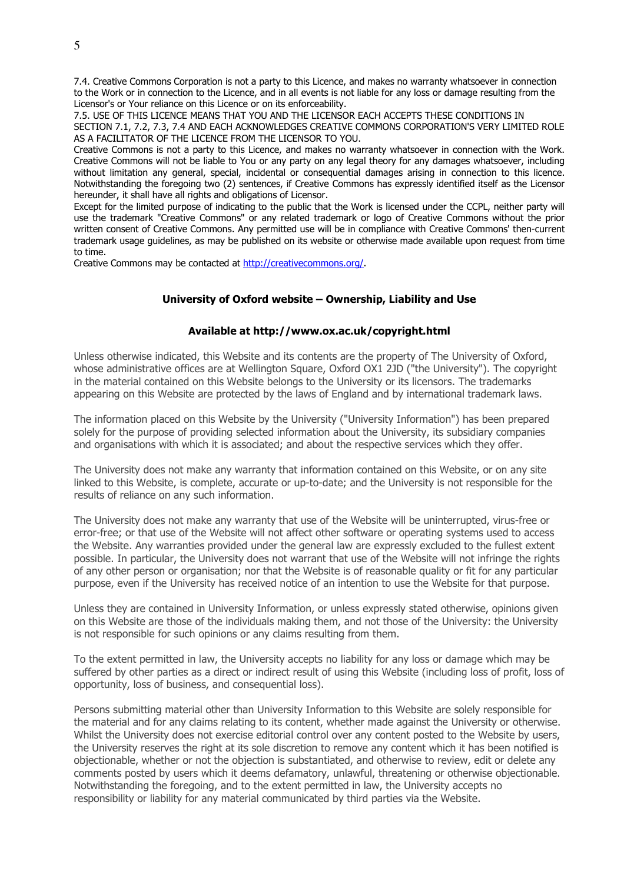7.4. Creative Commons Corporation is not a party to this Licence, and makes no warranty whatsoever in connection to the Work or in connection to the Licence, and in all events is not liable for any loss or damage resulting from the Licensor's or Your reliance on this Licence or on its enforceability.

7.5. USE OF THIS LICENCE MEANS THAT YOU AND THE LICENSOR EACH ACCEPTS THESE CONDITIONS IN SECTION 7.1, 7.2, 7.3, 7.4 AND EACH ACKNOWLEDGES CREATIVE COMMONS CORPORATION'S VERY LIMITED ROLE AS A FACILITATOR OF THE LICENCE FROM THE LICENSOR TO YOU.

Creative Commons is not a party to this Licence, and makes no warranty whatsoever in connection with the Work. Creative Commons will not be liable to You or any party on any legal theory for any damages whatsoever, including without limitation any general, special, incidental or consequential damages arising in connection to this licence. Notwithstanding the foregoing two (2) sentences, if Creative Commons has expressly identified itself as the Licensor hereunder, it shall have all rights and obligations of Licensor.

Except for the limited purpose of indicating to the public that the Work is licensed under the CCPL, neither party will use the trademark "Creative Commons" or any related trademark or logo of Creative Commons without the prior written consent of Creative Commons. Any permitted use will be in compliance with Creative Commons' then-current trademark usage guidelines, as may be published on its website or otherwise made available upon request from time to time.

Creative Commons may be contacted at http://creativecommons.org/.

## **University of Oxford website – Ownership, Liability and Use**

## **Available at http://www.ox.ac.uk/copyright.html**

Unless otherwise indicated, this Website and its contents are the property of The University of Oxford, whose administrative offices are at Wellington Square, Oxford OX1 2JD ("the University"). The copyright in the material contained on this Website belongs to the University or its licensors. The trademarks appearing on this Website are protected by the laws of England and by international trademark laws.

The information placed on this Website by the University ("University Information") has been prepared solely for the purpose of providing selected information about the University, its subsidiary companies and organisations with which it is associated; and about the respective services which they offer.

The University does not make any warranty that information contained on this Website, or on any site linked to this Website, is complete, accurate or up-to-date; and the University is not responsible for the results of reliance on any such information.

The University does not make any warranty that use of the Website will be uninterrupted, virus-free or error-free; or that use of the Website will not affect other software or operating systems used to access the Website. Any warranties provided under the general law are expressly excluded to the fullest extent possible. In particular, the University does not warrant that use of the Website will not infringe the rights of any other person or organisation; nor that the Website is of reasonable quality or fit for any particular purpose, even if the University has received notice of an intention to use the Website for that purpose.

Unless they are contained in University Information, or unless expressly stated otherwise, opinions given on this Website are those of the individuals making them, and not those of the University: the University is not responsible for such opinions or any claims resulting from them.

To the extent permitted in law, the University accepts no liability for any loss or damage which may be suffered by other parties as a direct or indirect result of using this Website (including loss of profit, loss of opportunity, loss of business, and consequential loss).

Persons submitting material other than University Information to this Website are solely responsible for the material and for any claims relating to its content, whether made against the University or otherwise. Whilst the University does not exercise editorial control over any content posted to the Website by users, the University reserves the right at its sole discretion to remove any content which it has been notified is objectionable, whether or not the objection is substantiated, and otherwise to review, edit or delete any comments posted by users which it deems defamatory, unlawful, threatening or otherwise objectionable. Notwithstanding the foregoing, and to the extent permitted in law, the University accepts no responsibility or liability for any material communicated by third parties via the Website.